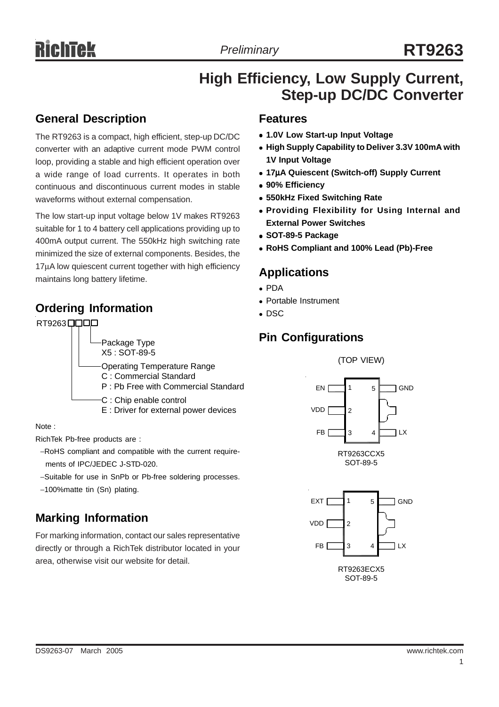## **High Efficiency, Low Supply Current, Step-up DC/DC Converter**

#### **General Description**

The RT9263 is a compact, high efficient, step-up DC/DC converter with an adaptive current mode PWM control loop, providing a stable and high efficient operation over a wide range of load currents. It operates in both continuous and discontinuous current modes in stable waveforms without external compensation.

The low start-up input voltage below 1V makes RT9263 suitable for 1 to 4 battery cell applications providing up to 400mA output current. The 550kHz high switching rate minimized the size of external components. Besides, the 17µA low quiescent current together with high efficiency maintains long battery lifetime.

## **Ordering Information**



Note :

RichTek Pb-free products are :

- −RoHS compliant and compatible with the current require ments of IPC/JEDEC J-STD-020.
- −Suitable for use in SnPb or Pb-free soldering processes.

−100%matte tin (Sn) plating.

## **Marking Information**

For marking information, contact our sales representative directly or through a RichTek distributor located in your area, otherwise visit our website for detail.

#### **Features**

- <sup>z</sup> **1.0V Low Start-up Input Voltage**
- **High Supply Capability to Deliver 3.3V 100mA with 1V Input Voltage**
- <sup>z</sup> **17**µ**A Quiescent (Switch-off) Supply Current**
- <sup>z</sup> **90% Efficiency**
- $\bullet$  **550kHz Fixed Switching Rate**
- **Providing Flexibility for Using Internal and External Power Switches**
- <sup>z</sup> **SOT-89-5 Package**
- <sup>z</sup> **RoHS Compliant and 100% Lead (Pb)-Free**

### **Applications**

- $\bullet$  PDA
- Portable Instrument
- $\bullet$  DSC

## **Pin Configurations**





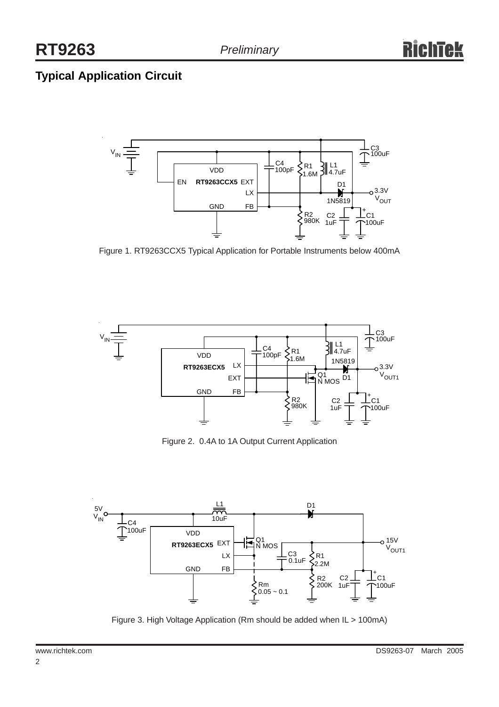# **Typical Application Circuit**



Figure 1. RT9263CCX5 Typical Application for Portable Instruments below 400mA



Figure 2. 0.4A to 1A Output Current Application



Figure 3. High Voltage Application (Rm should be added when IL > 100mA)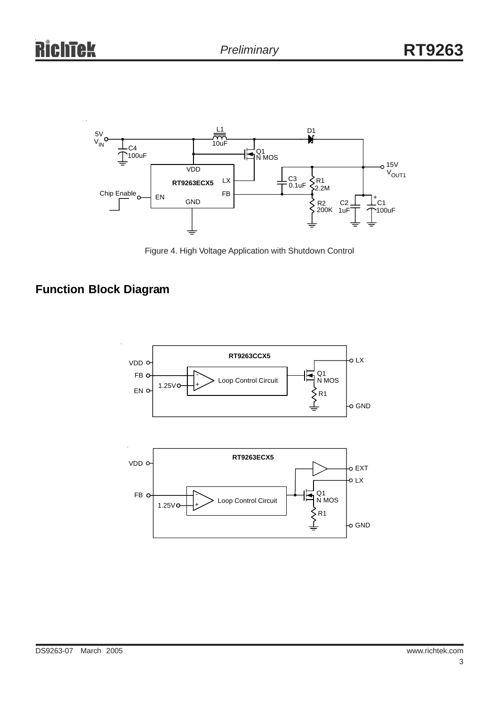



# **Function Block Diagram**

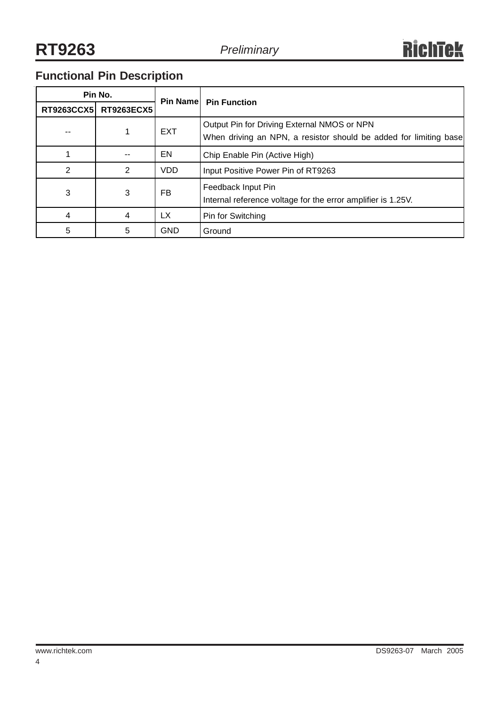# **Functional Pin Description**

| Pin No. |                       |            | <b>Pin Namel Pin Function</b>                                                                                    |  |
|---------|-----------------------|------------|------------------------------------------------------------------------------------------------------------------|--|
|         | RT9263CCX5 RT9263ECX5 |            |                                                                                                                  |  |
|         |                       | <b>EXT</b> | Output Pin for Driving External NMOS or NPN<br>When driving an NPN, a resistor should be added for limiting base |  |
|         |                       | EN         | Chip Enable Pin (Active High)                                                                                    |  |
| 2       | $\overline{2}$        | <b>VDD</b> | Input Positive Power Pin of RT9263                                                                               |  |
| 3       | 3                     | FB         | Feedback Input Pin<br>Internal reference voltage for the error amplifier is 1.25V.                               |  |
| 4       | 4                     | <b>LX</b>  | Pin for Switching                                                                                                |  |
| 5       | 5                     | <b>GND</b> | Ground                                                                                                           |  |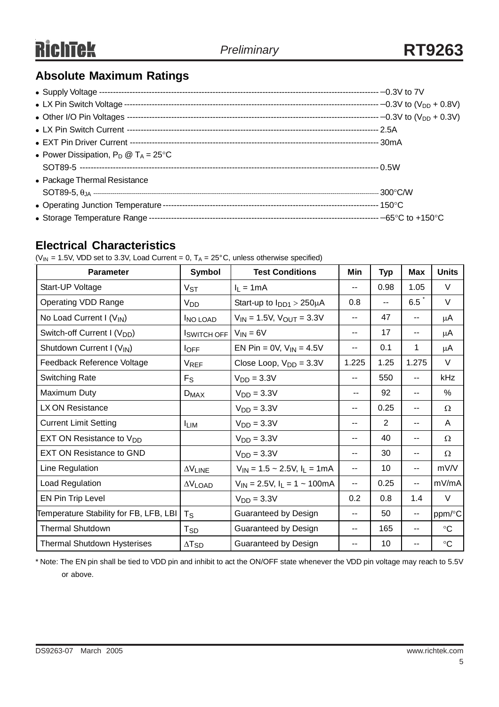## **Absolute Maximum Ratings**

| • Power Dissipation, $P_D @ T_A = 25^{\circ}C$ |  |
|------------------------------------------------|--|
|                                                |  |
| • Package Thermal Resistance                   |  |
|                                                |  |
|                                                |  |
|                                                |  |

#### **Electrical Characteristics**

( $V_{IN}$  = 1.5V, VDD set to 3.3V, Load Current = 0, T<sub>A</sub> = 25°C, unless otherwise specified)

| <b>Parameter</b>                        | Symbol                      | <b>Test Conditions</b>                 | Min   | <b>Typ</b> | <b>Max</b> | <b>Units</b>    |
|-----------------------------------------|-----------------------------|----------------------------------------|-------|------------|------------|-----------------|
| Start-UP Voltage                        | $V_{ST}$                    | $I_L = 1mA$                            | $- -$ | 0.98       | 1.05       | V               |
| <b>Operating VDD Range</b>              | V <sub>DD</sub>             | Start-up to $I_{DD1}$ > 250 $\mu$ A    | 0.8   |            | 6.5        | V               |
| No Load Current I $(V_{IN})$            | <b>INO LOAD</b>             | $V_{IN}$ = 1.5V, $V_{OUT}$ = 3.3V      | --    | 47         | --         | μA              |
| Switch-off Current I (V <sub>DD</sub> ) | <b>ISWITCH OFF</b>          | $V_{IN} = 6V$                          | --    | 17         | --         | μA              |
| Shutdown Current I (VIN)                | $I$ OFF                     | EN Pin = $0V$ , $V_{IN} = 4.5V$        | --    | 0.1        | 1          | μA              |
| Feedback Reference Voltage              | <b>VREF</b>                 | Close Loop, $V_{DD} = 3.3V$            | 1.225 | 1.25       | 1.275      | V               |
| <b>Switching Rate</b>                   | $F_S$                       | $VDD = 3.3V$                           | --    | 550        | $-1$       | kHz             |
| Maximum Duty                            | $D_{MAX}$                   | $VDD = 3.3V$                           | ۰.    | 92         | --         | %               |
| LX ON Resistance                        |                             | $VDD = 3.3V$                           | --    | 0.25       | $-$        | $\Omega$        |
| <b>Current Limit Setting</b>            | <b>ILIM</b>                 | $VDD = 3.3V$                           | --    | 2          | --         | A               |
| EXT ON Resistance to V <sub>DD</sub>    |                             | $VDD = 3.3V$                           | --    | 40         | $-1$       | $\Omega$        |
| <b>EXT ON Resistance to GND</b>         |                             | $VDD = 3.3V$                           | --    | 30         | $-$        | $\Omega$        |
| Line Regulation                         | $\Delta \rm{V}_{\rm{LINE}}$ | $V_{IN}$ = 1.5 ~ 2.5V, $I_L$ = 1mA     | --    | 10         | $-1$       | mV/V            |
| Load Regulation                         | $\Delta V_{\text{LOAD}}$    | $V_{1N} = 2.5V$ , $I_L = 1 \sim 100mA$ | --    | 0.25       | --         | mV/mA           |
| EN Pin Trip Level                       |                             | $VDD = 3.3V$                           | 0.2   | 0.8        | 1.4        | $\vee$          |
| Temperature Stability for FB, LFB, LBI  | $T_S$                       | Guaranteed by Design                   | --    | 50         | ۰.         | ppm/°C          |
| <b>Thermal Shutdown</b>                 | $\mathsf{T}_{\mathsf{SD}}$  | Guaranteed by Design                   | --    | 165        | $-$        | $\rm ^{\circ}C$ |
| <b>Thermal Shutdown Hysterises</b>      | $\Delta T_{SD}$             | Guaranteed by Design                   | --    | 10         |            | $\rm ^{\circ}C$ |

\* Note: The EN pin shall be tied to VDD pin and inhibit to act the ON/OFF state whenever the VDD pin voltage may reach to 5.5V or above.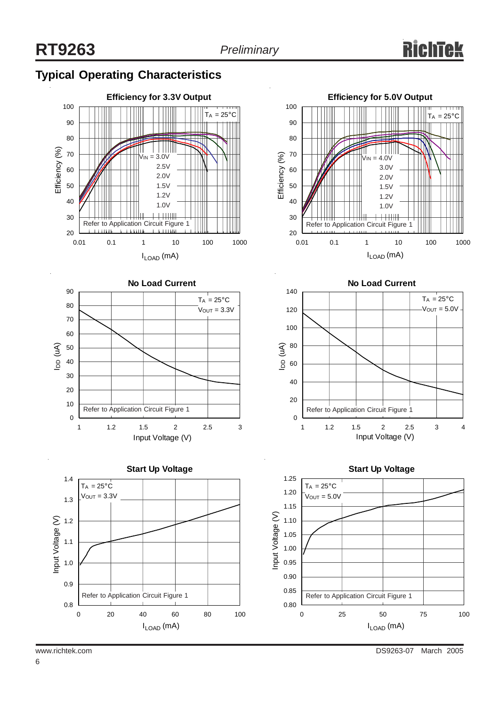### **Typical Operating Characteristics**









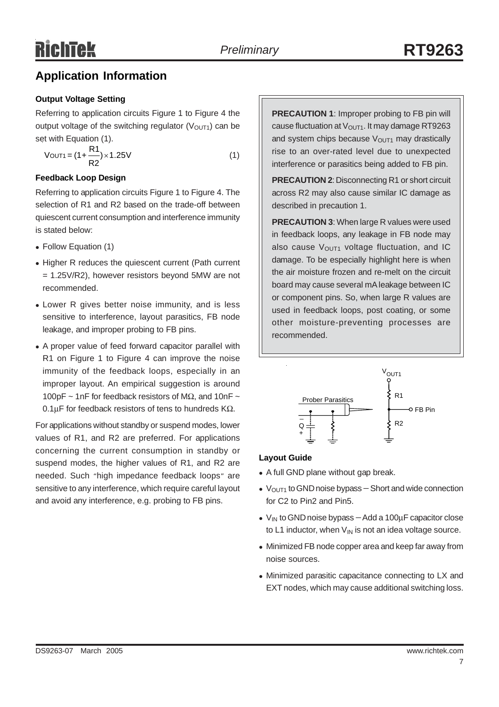### **Application Information**

#### **Output Voltage Setting**

Referring to application circuits Figure 1 to Figure 4 the output voltage of the switching regulator  $(V<sub>OUT1</sub>)$  can be set with Equation (1).

$$
V_{\text{OUT1}} = (1 + \frac{R1}{R2}) \times 1.25V
$$
 (1)

#### **Feedback Loop Design**

Referring to application circuits Figure 1 to Figure 4. The selection of R1 and R2 based on the trade-off between quiescent current consumption and interference immunity is stated below:

- Follow Equation (1)
- Higher R reduces the quiescent current (Path current = 1.25V/R2), however resistors beyond 5MW are not recommended.
- Lower R gives better noise immunity, and is less sensitive to interference, layout parasitics, FB node leakage, and improper probing to FB pins.
- A proper value of feed forward capacitor parallel with R1 on Figure 1 to Figure 4 can improve the noise immunity of the feedback loops, especially in an improper layout. An empirical suggestion is around 100pF ~ 1nF for feedback resistors of M $\Omega$ , and 10nF ~ 0.1µF for feedback resistors of tens to hundreds KΩ.

For applications without standby or suspend modes, lower values of R1, and R2 are preferred. For applications concerning the current consumption in standby or suspend modes, the higher values of R1, and R2 are needed. Such "high impedance feedback loops" are sensitive to any interference, which require careful layout and avoid any interference, e.g. probing to FB pins.

**PRECAUTION 1:** Improper probing to FB pin will cause fluctuation at  $V<sub>OUT1</sub>$ . It may damage RT9263 and system chips because  $V<sub>OUT1</sub>$  may drastically rise to an over-rated level due to unexpected interference or parasitics being added to FB pin.

**PRECAUTION 2**: Disconnecting R1 or short circuit across R2 may also cause similar IC damage as described in precaution 1.

**PRECAUTION 3**: When large R values were used in feedback loops, any leakage in FB node may also cause  $V<sub>OUT1</sub>$  voltage fluctuation, and IC damage. To be especially highlight here is when the air moisture frozen and re-melt on the circuit board may cause several mA leakage between IC or component pins. So, when large R values are used in feedback loops, post coating, or some other moisture-preventing processes are recommended.



#### **Layout Guide**

- A full GND plane without gap break.
- V<sub>OUT1</sub> to GND noise bypass Short and wide connection for C2 to Pin2 and Pin5.
- V<sub>IN</sub> to GND noise bypass Add a 100μF capacitor close to L1 inductor, when  $V_{\text{IN}}$  is not an idea voltage source.
- Minimized FB node copper area and keep far away from noise sources.
- Minimized parasitic capacitance connecting to LX and EXT nodes, which may cause additional switching loss.